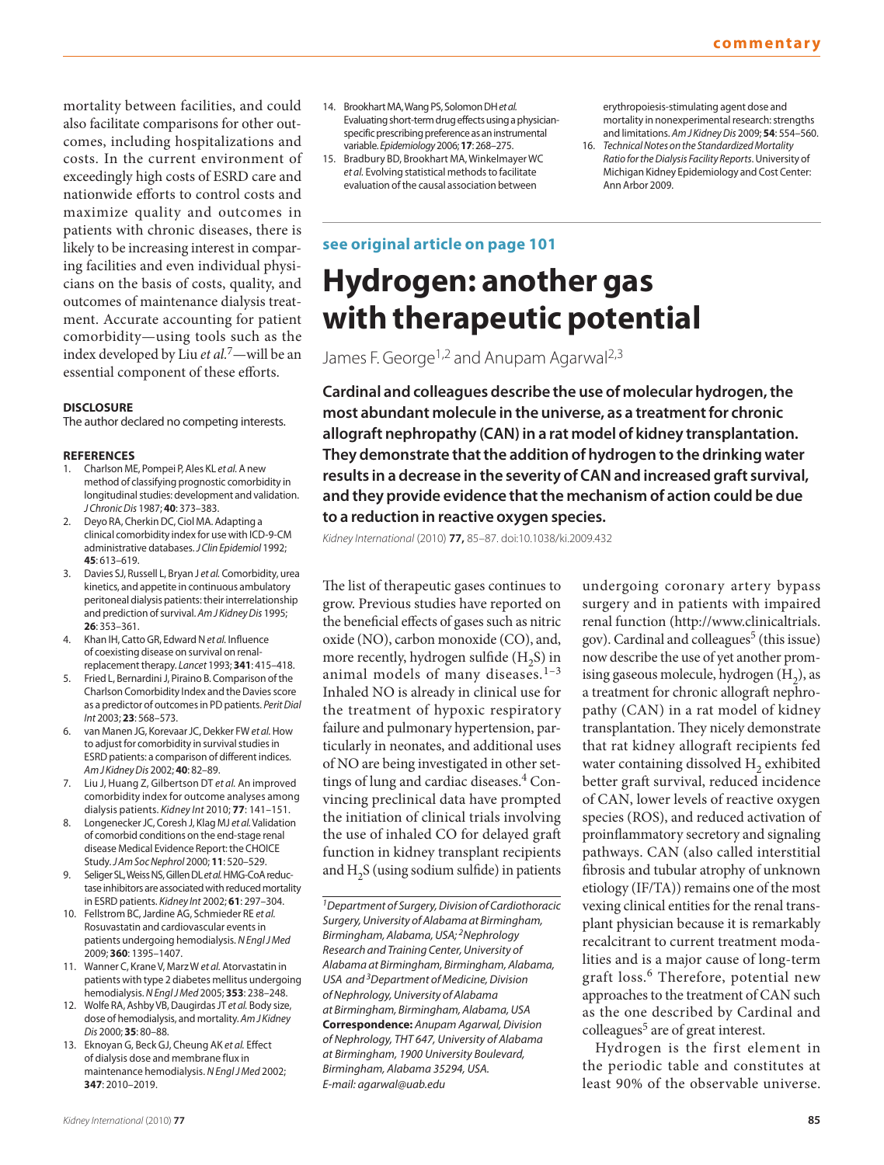mortality between facilities, and could also facilitate comparisons for other outcomes, including hospitalizations and costs. In the current environment of exceedingly high costs of ESRD care and nationwide efforts to control costs and maximize quality and outcomes in patients with chronic diseases, there is likely to be increasing interest in comparing facilities and even individual physicians on the basis of costs, quality, and outcomes of maintenance dialysis treatment. Accurate accounting for patient comorbidity—using tools such as the index developed by Liu *et al.*7 — will be an essential component of these efforts.

### **DISCLOSURE**

The author declared no competing interests.

#### **REFERENCES**

- 1. Charlson ME, Pompei P, Ales KL et al. A new method of classifying prognostic comorbidity in longitudinal studies: development and validation. J Chronic Dis 1987 ; **40** : 373 – 383 .
- 2. Deyo RA, Cherkin DC, Ciol MA. Adapting a clinical comorbidity index for use with ICD-9-CM administrative databases. J Clin Epidemiol 1992; **45** : 613 – 619 .
- 3. Davies SJ, Russell L, Bryan J et al. Comorbidity, urea kinetics, and appetite in continuous ambulatory peritoneal dialysis patients: their interrelationship and prediction of survival. Am J Kidney Dis 1995; **26** : 353 – 361 .
- 4. Khan IH, Catto GR, Edward N et al. Influence of coexisting disease on survival on renalreplacement therapy. Lancet 1993; 341: 415-418.
- Fried L, Bernardini J, Piraino B. Comparison of the Charlson Comorbidity Index and the Davies score as a predictor of outcomes in PD patients . Perit Dial Int 2003; 23: 568-573.
- 6. van Manen JG, Korevaar JC, Dekker FW et al. How to adjust for comorbidity in survival studies in ESRD patients: a comparison of different indices . Am J Kidney Dis 2002; 40: 82-89.
- 7. Liu J, Huang Z, Gilbertson DT et al. An improved comorbidity index for outcome analyses among dialysis patients . Kidney Int 2010 ; **77** : 141–151 .
- 8. Longenecker JC, Coresh J, Klag MJ et al. Validation of comorbid conditions on the end-stage renal disease Medical Evidence Report: the CHOICE Study. J Am Soc Nephrol 2000; 11: 520-529.
- Seliger SL, Weiss NS, Gillen DL et al. HMG-CoA reductase inhibitors are associated with reduced mortality in ESRD patients . Kidney Int 2002 ; **61** : 297 – 304 .
- 10. Fellstrom BC, Jardine AG, Schmieder RE et al. Rosuvastatin and cardiovascular events in patients undergoing hemodialysis . N Engl J Med 2009 ; **360** : 1395 – 1407 .
- 11. Wanner C, Krane V, Marz W et al. Atorvastatin in patients with type 2 diabetes mellitus undergoing hemodialysis . N Engl J Med 2005 ; **353** : 238 – 248 .
- 12. Wolfe RA, Ashby VB, Daugirdas JT et al. Body size, dose of hemodialysis, and mortality. Am J Kidney Dis 2000; 35: 80-88.
- 13. Eknoyan G, Beck GJ, Cheung AK et al. Effect of dialysis dose and membrane flux in maintenance hemodialysis. N Engl J Med 2002; **347**: 2010-2019.
- 14. Brookhart MA, Wang PS, Solomon DH et al. Evaluating short-term drug effects using a physicianspecific prescribing preference as an instrumental variable. Epidemiology 2006; 17: 268-275.
- 15. Bradbury BD, Brookhart MA, Winkelmayer WC et al. Evolving statistical methods to facilitate evaluation of the causal association between

# **see original article on page 101**

erythropoiesis-stimulating agent dose and mortality in nonexperimental research: strengths and limitations. Am J Kidney Dis 2009; 54: 554-560.

16. Technical Notes on the Standardized Mortality Ratio for the Dialysis Facility Reports . University of Michigan Kidney Epidemiology and Cost Center: Ann Arbor 2009.

# **Hydrogen: another gas with therapeutic potential**

James F. George<sup>1,2</sup> and Anupam Agarwal<sup>2,3</sup>

 **Cardinal and colleagues describe the use of molecular hydrogen, the most abundant molecule in the universe, as a treatment for chronic allograft nephropathy (CAN) in a rat model of kidney transplantation. They demonstrate that the addition of hydrogen to the drinking water results in a decrease in the severity of CAN and increased graft survival, and they provide evidence that the mechanism of action could be due to a reduction in reactive oxygen species.** 

Kidney International (2010) **77,** 85 – 87. doi: 10.1038/ki.2009.432

The list of therapeutic gases continues to grow. Previous studies have reported on the beneficial effects of gases such as nitric oxide (NO), carbon monoxide (CO), and, more recently, hydrogen sulfide  $(H, S)$  in animal models of many diseases. $1-3$ Inhaled NO is already in clinical use for the treatment of hypoxic respiratory failure and pulmonary hypertension, particularly in neonates, and additional uses of NO are being investigated in other settings of lung and cardiac diseases.<sup>4</sup> Convincing preclinical data have prompted the initiation of clinical trials involving the use of inhaled CO for delayed graft function in kidney transplant recipients and  $H_2S$  (using sodium sulfide) in patients

<sup>1</sup> Department of Surgery, Division of Cardiothoracic Surgery, University of Alabama at Birmingham, Birmingham, Alabama, USA;<sup>2</sup>Nephrology Research and Training Center, University of Alabama at Birmingham, Birmingham, Alabama, USA and <sup>3</sup> Department of Medicine, Division of Nephrology, University of Alabama at Birmingham, Birmingham, Alabama, USA  **Correspondence:** Anupam Agarwal, Division of Nephrology, THT 647, University of Alabama at Birmingham, 1900 University Boulevard, Birmingham, Alabama 35294, USA. E-mail: agarwal@uab.edu

undergoing coronary artery bypass surgery and in patients with impaired renal function ( http://www.clinicaltrials. gov). Cardinal and colleagues<sup>5</sup> (this issue) now describe the use of yet another promising gaseous molecule, hydrogen  $(H_2)$ , as a treatment for chronic allograft nephropathy (CAN) in a rat model of kidney transplantation. They nicely demonstrate that rat kidney allograft recipients fed water containing dissolved H<sub>2</sub> exhibited better graft survival, reduced incidence of CAN, lower levels of reactive oxygen species (ROS), and reduced activation of proinflammatory secretory and signaling pathways. CAN (also called interstitial fibrosis and tubular atrophy of unknown etiology  $(IF/TA)$ ) remains one of the most vexing clinical entities for the renal transplant physician because it is remarkably recalcitrant to current treatment modalities and is a major cause of long-term graft loss. 6 Therefore, potential new approaches to the treatment of CAN such as the one described by Cardinal and colleagues<sup>5</sup> are of great interest.

 Hydrogen is the first element in the periodic table and constitutes at least 90% of the observable universe.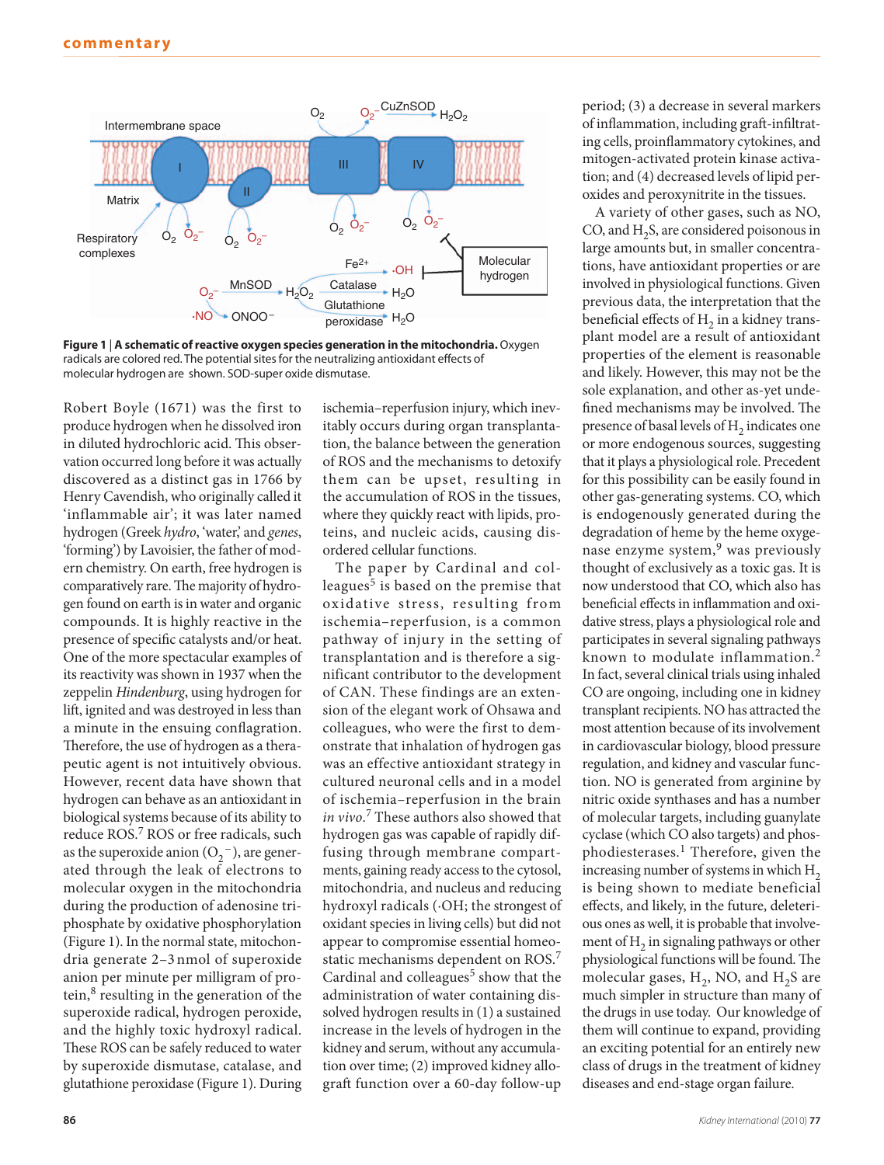

**Figure 1** | **A schematic of reactive oxygen species generation in the mitochondria.** Oxygen radicals are colored red. The potential sites for the neutralizing antioxidant effects of molecular hydrogen are shown. SOD-super oxide dismutase.

Robert Boyle (1671) was the first to produce hydrogen when he dissolved iron in diluted hydrochloric acid. This observation occurred long before it was actually discovered as a distinct gas in 1766 by Henry Cavendish, who originally called it 'inflammable air'; it was later named hydrogen (Greek *hydro*, 'water', and *genes*, ' forming') by Lavoisier, the father of modern chemistry. On earth, free hydrogen is comparatively rare. The majority of hydrogen found on earth is in water and organic compounds. It is highly reactive in the presence of specific catalysts and/or heat. One of the more spectacular examples of its reactivity was shown in 1937 when the zeppelin *Hindenburg*, using hydrogen for lift, ignited and was destroyed in less than a minute in the ensuing conflagration. Therefore, the use of hydrogen as a therapeutic agent is not intuitively obvious. However, recent data have shown that hydrogen can behave as an antioxidant in biological systems because of its ability to reduce ROS.<sup>7</sup> ROS or free radicals, such as the superoxide anion  $(O_2^-)$ , are generated through the leak of electrons to molecular oxygen in the mitochondria during the production of adenosine triphosphate by oxidative phosphorylation (Figure 1). In the normal state, mitochondria generate 2-3 nmol of superoxide anion per minute per milligram of protein,<sup>8</sup> resulting in the generation of the superoxide radical, hydrogen peroxide, and the highly toxic hydroxyl radical. These ROS can be safely reduced to water by superoxide dismutase, catalase, and glutathione peroxidase (Figure 1). During

ischemia – reperfusion injury, which inevitably occurs during organ transplantation, the balance between the generation of ROS and the mechanisms to detoxify them can be upset, resulting in the accumulation of ROS in the tissues, where they quickly react with lipids, proteins, and nucleic acids, causing disordered cellular functions.

 The paper by Cardinal and colleagues $<sup>5</sup>$  is based on the premise that</sup> oxidative stress, resulting from ischemia – reperfusion, is a common pathway of injury in the setting of transplantation and is therefore a significant contributor to the development of CAN. These findings are an extension of the elegant work of Ohsawa and colleagues, who were the first to demonstrate that inhalation of hydrogen gas was an effective antioxidant strategy in cultured neuronal cells and in a model of ischemia – reperfusion in the brain  $invov^7$  These authors also showed that hydrogen gas was capable of rapidly diffusing through membrane compartments, gaining ready access to the cytosol, mitochondria, and nucleus and reducing hydroxyl radicals (·OH; the strongest of oxidant species in living cells) but did not appear to compromise essential homeostatic mechanisms dependent on ROS.<sup>7</sup> Cardinal and colleagues $5$  show that the administration of water containing dissolved hydrogen results in (1) a sustained increase in the levels of hydrogen in the kidney and serum, without any accumulation over time; (2) improved kidney allograft function over a 60-day follow-up

period; (3) a decrease in several markers of inflammation, including graft-infiltrating cells, proinflammatory cytokines, and mitogen-activated protein kinase activation; and (4) decreased levels of lipid peroxides and peroxynitrite in the tissues.

 A variety of other gases, such as NO, CO, and  $H_2S$ , are considered poisonous in large amounts but, in smaller concentrations, have antioxidant properties or are involved in physiological functions. Given previous data, the interpretation that the beneficial effects of  $H_2$  in a kidney transplant model are a result of antioxidant properties of the element is reasonable and likely. However, this may not be the sole explanation, and other as-yet undefined mechanisms may be involved. The presence of basal levels of H<sub>2</sub> indicates one or more endogenous sources, suggesting that it plays a physiological role. Precedent for this possibility can be easily found in other gas-generating systems. CO, which is endogenously generated during the degradation of heme by the heme oxygenase enzyme system,<sup>9</sup> was previously thought of exclusively as a toxic gas. It is now understood that CO, which also has beneficial effects in inflammation and oxidative stress, plays a physiological role and participates in several signaling pathways known to modulate inflammation. 2 In fact, several clinical trials using inhaled CO are ongoing, including one in kidney transplant recipients. NO has attracted the most attention because of its involvement in cardiovascular biology, blood pressure regulation, and kidney and vascular function. NO is generated from arginine by nitric oxide synthases and has a number of molecular targets, including guanylate cyclase (which CO also targets) and phosphodiesterases.<sup>1</sup> Therefore, given the increasing number of systems in which  $H_2$ is being shown to mediate beneficial effects, and likely, in the future, deleterious ones as well, it is probable that involvement of H<sub>2</sub> in signaling pathways or other physiological functions will be found. The molecular gases,  $H_2$ , NO, and  $H_2S$  are much simpler in structure than many of the drugs in use today. Our knowledge of them will continue to expand, providing an exciting potential for an entirely new class of drugs in the treatment of kidney diseases and end-stage organ failure.